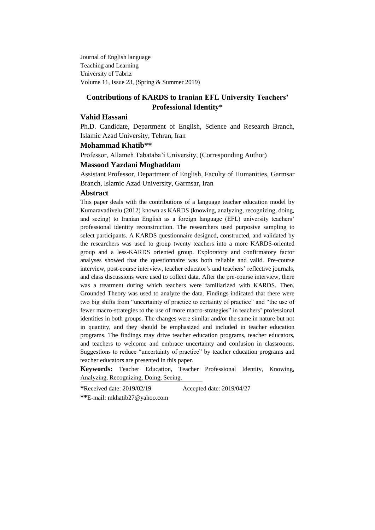Journal of English language Teaching and Learning University of Tabriz Volume 11, Issue 23, (Spring & Summer 2019)

# **Contributions of KARDS to Iranian EFL University Teachers' Professional Identity\***

## **Vahid Hassani**

Ph.D. Candidate, Department of English, Science and Research Branch, Islamic Azad University, Tehran, Iran

#### **Mohammad Khatib\*\***

Professor, Allameh Tabataba"i University, (Corresponding Author)

## **Massood Yazdani Moghaddam**

Assistant Professor, Department of English, Faculty of Humanities, Garmsar Branch, Islamic Azad University, Garmsar, Iran

#### **Abstract**

This paper deals with the contributions of a language teacher education model by Kumaravadivelu (2012) known as KARDS (knowing, analyzing, recognizing, doing, and seeing) to Iranian English as a foreign language (EFL) university teachers" professional identity reconstruction. The researchers used purposive sampling to select participants. A KARDS questionnaire designed, constructed, and validated by the researchers was used to group twenty teachers into a more KARDS-oriented group and a less-KARDS oriented group. Exploratory and confirmatory factor analyses showed that the questionnaire was both reliable and valid. Pre-course interview, post-course interview, teacher educator's and teachers' reflective journals, and class discussions were used to collect data. After the pre-course interview, there was a treatment during which teachers were familiarized with KARDS. Then, Grounded Theory was used to analyze the data. Findings indicated that there were two big shifts from "uncertainty of practice to certainty of practice" and "the use of fewer macro-strategies to the use of more macro-strategies" in teachers" professional identities in both groups. The changes were similar and/or the same in nature but not in quantity, and they should be emphasized and included in teacher education programs. The findings may drive teacher education programs, teacher educators, and teachers to welcome and embrace uncertainty and confusion in classrooms. Suggestions to reduce "uncertainty of practice" by teacher education programs and teacher educators are presented in this paper.

**Keywords:** Teacher Education, Teacher Professional Identity, Knowing, Analyzing, Recognizing, Doing, Seeing.

**\***Received date: 2019/02/19 Accepted date: 2019/04/27

**\*\***E-mail: [mkhatib27@yahoo.com](mailto:mkhatib27@yahoo.com)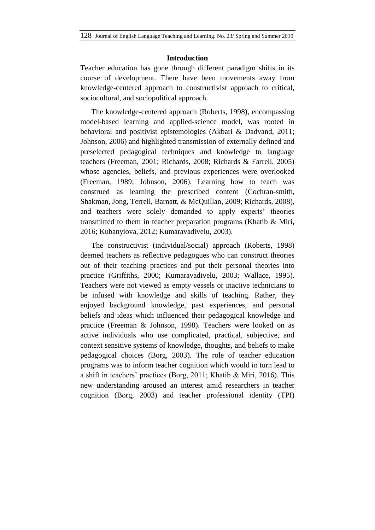## **Introduction**

Teacher education has gone through different paradigm shifts in its course of development. There have been movements away from knowledge-centered approach to constructivist approach to critical, sociocultural, and sociopolitical approach.

The knowledge-centered approach (Roberts, 1998), encompassing model-based learning and applied-science model, was rooted in behavioral and positivist epistemologies (Akbari & Dadvand, 2011; Johnson, 2006) and highlighted transmission of externally defined and preselected pedagogical techniques and knowledge to language teachers (Freeman, 2001; Richards, 2008; Richards & Farrell, 2005) whose agencies, beliefs, and previous experiences were overlooked (Freeman, 1989; Johnson, 2006). Learning how to teach was construed as learning the prescribed content (Cochran-smith, Shakman, Jong, Terrell, Barnatt, & McQuillan, 2009; Richards, 2008), and teachers were solely demanded to apply experts' theories transmitted to them in teacher preparation programs (Khatib & Miri, 2016; Kubanyiova, 2012; Kumaravadivelu, 2003).

The constructivist (individual/social) approach (Roberts, 1998) deemed teachers as reflective pedagogues who can construct theories out of their teaching practices and put their personal theories into practice (Griffiths, 2000; Kumaravadivelu, 2003; Wallace, 1995). Teachers were not viewed as empty vessels or inactive technicians to be infused with knowledge and skills of teaching. Rather, they enjoyed background knowledge, past experiences, and personal beliefs and ideas which influenced their pedagogical knowledge and practice (Freeman & Johnson, 1998). Teachers were looked on as active individuals who use complicated, practical, subjective, and context sensitive systems of knowledge, thoughts, and beliefs to make pedagogical choices (Borg, 2003). The role of teacher education programs was to inform teacher cognition which would in turn lead to a shift in teachers" practices (Borg, 2011; Khatib & Miri, 2016). This new understanding aroused an interest amid researchers in teacher cognition (Borg, 2003) and teacher professional identity (TPI)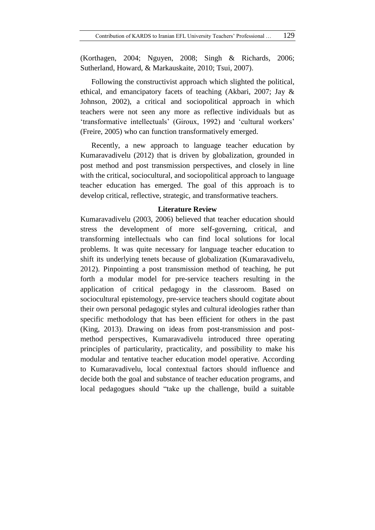(Korthagen, 2004; Nguyen, 2008; Singh & Richards, 2006; Sutherland, Howard, & Markauskaite, 2010; Tsui, 2007).

Following the constructivist approach which slighted the political, ethical, and emancipatory facets of teaching (Akbari, 2007; Jay & Johnson, 2002), a critical and sociopolitical approach in which teachers were not seen any more as reflective individuals but as 'transformative intellectuals' (Giroux, 1992) and 'cultural workers' (Freire, 2005) who can function transformatively emerged.

Recently, a new approach to language teacher education by Kumaravadivelu (2012) that is driven by globalization, grounded in post method and post transmission perspectives, and closely in line with the critical, sociocultural, and sociopolitical approach to language teacher education has emerged. The goal of this approach is to develop critical, reflective, strategic, and transformative teachers.

## **Literature Review**

Kumaravadivelu (2003, 2006) believed that teacher education should stress the development of more self-governing, critical, and transforming intellectuals who can find local solutions for local problems. It was quite necessary for language teacher education to shift its underlying tenets because of globalization (Kumaravadivelu, 2012). Pinpointing a post transmission method of teaching, he put forth a modular model for pre-service teachers resulting in the application of critical pedagogy in the classroom. Based on sociocultural epistemology, pre-service teachers should cogitate about their own personal pedagogic styles and cultural ideologies rather than specific methodology that has been efficient for others in the past (King, 2013). Drawing on ideas from post-transmission and postmethod perspectives, Kumaravadivelu introduced three operating principles of particularity, practicality, and possibility to make his modular and tentative teacher education model operative. According to Kumaravadivelu, local contextual factors should influence and decide both the goal and substance of teacher education programs, and local pedagogues should "take up the challenge, build a suitable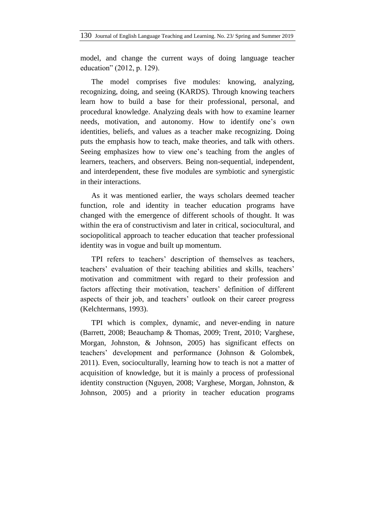model, and change the current ways of doing language teacher education" (2012, p. 129).

The model comprises five modules: knowing, analyzing, recognizing, doing, and seeing (KARDS). Through knowing teachers learn how to build a base for their professional, personal, and procedural knowledge. Analyzing deals with how to examine learner needs, motivation, and autonomy. How to identify one"s own identities, beliefs, and values as a teacher make recognizing. Doing puts the emphasis how to teach, make theories, and talk with others. Seeing emphasizes how to view one's teaching from the angles of learners, teachers, and observers. Being non-sequential, independent, and interdependent, these five modules are symbiotic and synergistic in their interactions.

As it was mentioned earlier, the ways scholars deemed teacher function, role and identity in teacher education programs have changed with the emergence of different schools of thought. It was within the era of constructivism and later in critical, sociocultural, and sociopolitical approach to teacher education that teacher professional identity was in vogue and built up momentum.

TPI refers to teachers' description of themselves as teachers, teachers' evaluation of their teaching abilities and skills, teachers' motivation and commitment with regard to their profession and factors affecting their motivation, teachers' definition of different aspects of their job, and teachers" outlook on their career progress (Kelchtermans, 1993).

TPI which is complex, dynamic, and never-ending in nature (Barrett, 2008; Beauchamp & Thomas, 2009; Trent, 2010; Varghese, Morgan, Johnston, & Johnson, 2005) has significant effects on teachers" development and performance (Johnson & Golombek, 2011). Even, socioculturally, learning how to teach is not a matter of acquisition of knowledge, but it is mainly a process of professional identity construction (Nguyen, 2008; Varghese, Morgan, Johnston, & Johnson, 2005) and a priority in teacher education programs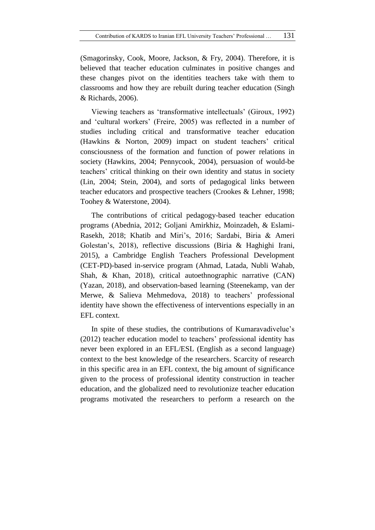(Smagorinsky, Cook, Moore, Jackson, & Fry, 2004). Therefore, it is believed that teacher education culminates in positive changes and these changes pivot on the identities teachers take with them to classrooms and how they are rebuilt during teacher education (Singh & Richards, 2006).

Viewing teachers as "transformative intellectuals" (Giroux, 1992) and "cultural workers" (Freire, 2005) was reflected in a number of studies including critical and transformative teacher education (Hawkins  $\&$  Norton, 2009) impact on student teachers' critical consciousness of the formation and function of power relations in society (Hawkins, 2004; Pennycook, 2004), persuasion of would-be teachers" critical thinking on their own identity and status in society (Lin, 2004; Stein, 2004), and sorts of pedagogical links between teacher educators and prospective teachers (Crookes & Lehner, 1998; Toohey & Waterstone, 2004).

The contributions of critical pedagogy-based teacher education programs (Abednia, 2012; Goljani Amirkhiz, Moinzadeh, & Eslami-Rasekh, 2018; Khatib and Miri"s, 2016; Sardabi, Biria & Ameri Golestan"s, 2018), reflective discussions (Biria & Haghighi Irani, 2015), a Cambridge English Teachers Professional Development (CET-PD)-based in-service program (Ahmad, Latada, Nubli Wahab, Shah, & Khan, 2018), critical autoethnographic narrative (CAN) (Yazan, 2018), and observation-based learning (Steenekamp, van der Merwe, & Salieva Mehmedova, 2018) to teachers' professional identity have shown the effectiveness of interventions especially in an EFL context.

In spite of these studies, the contributions of Kumaravadivelue"s (2012) teacher education model to teachers" professional identity has never been explored in an EFL/ESL (English as a second language) context to the best knowledge of the researchers. Scarcity of research in this specific area in an EFL context, the big amount of significance given to the process of professional identity construction in teacher education, and the globalized need to revolutionize teacher education programs motivated the researchers to perform a research on the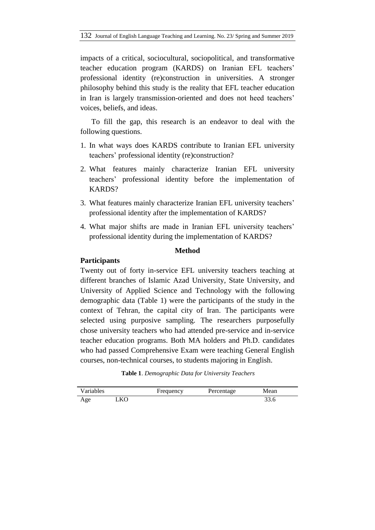impacts of a critical, sociocultural, sociopolitical, and transformative teacher education program (KARDS) on Iranian EFL teachers" professional identity (re)construction in universities. A stronger philosophy behind this study is the reality that EFL teacher education in Iran is largely transmission-oriented and does not heed teachers" voices, beliefs, and ideas.

To fill the gap, this research is an endeavor to deal with the following questions.

- 1. In what ways does KARDS contribute to Iranian EFL university teachers" professional identity (re)construction?
- 2. What features mainly characterize Iranian EFL university teachers" professional identity before the implementation of KARDS?
- 3. What features mainly characterize Iranian EFL university teachers" professional identity after the implementation of KARDS?
- 4. What major shifts are made in Iranian EFL university teachers" professional identity during the implementation of KARDS?

# **Method**

# **Participants**

Twenty out of forty in-service EFL university teachers teaching at different branches of Islamic Azad University, State University, and University of Applied Science and Technology with the following demographic data (Table 1) were the participants of the study in the context of Tehran, the capital city of Iran. The participants were selected using purposive sampling. The researchers purposefully chose university teachers who had attended pre-service and in-service teacher education programs. Both MA holders and Ph.D. candidates who had passed Comprehensive Exam were teaching General English courses, non-technical courses, to students majoring in English.

| Table 1. Demographic Data for University Teachers |  |
|---------------------------------------------------|--|
|---------------------------------------------------|--|

| Variables |     | Frequency | Percentage | Mean |
|-----------|-----|-----------|------------|------|
| Age       | _KO |           |            |      |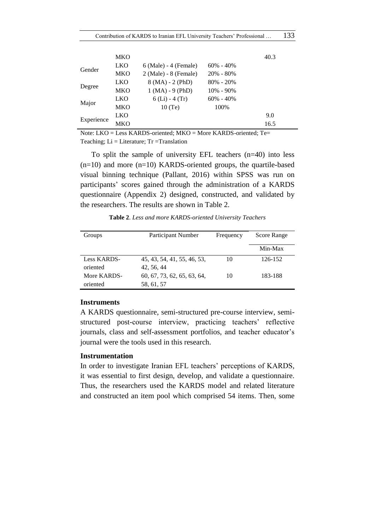|            | MKO        |                         |               | 40.3 |
|------------|------------|-------------------------|---------------|------|
| Gender     | <b>LKO</b> | $6$ (Male) - 4 (Female) | $60\% - 40\%$ |      |
|            | MKO        | $2$ (Male) - 8 (Female) | $20\% - 80\%$ |      |
|            | <b>LKO</b> | $8 (MA) - 2 (PhD)$      | $80\% - 20\%$ |      |
| Degree     | <b>MKO</b> | $1 (MA) - 9 (PhD)$      | $10\% - 90\%$ |      |
|            | <b>LKO</b> | $6$ (Li) - 4 (Tr)       | $60\% - 40\%$ |      |
| Major      | MKO        | 10(T <sub>e</sub> )     | 100%          |      |
|            | LKO        |                         |               | 9.0  |
| Experience | MKO        |                         |               | 16.5 |

Note: LKO = Less KARDS-oriented; MKO = More KARDS-oriented; Te= Teaching;  $Li = Literature$ ; Tr =Translation

To split the sample of university EFL teachers (n=40) into less  $(n=10)$  and more  $(n=10)$  KARDS-oriented groups, the quartile-based visual binning technique (Pallant, 2016) within SPSS was run on participants" scores gained through the administration of a KARDS questionnaire (Appendix 2) designed, constructed, and validated by the researchers. The results are shown in Table 2.

**Table 2**. *Less and more KARDS-oriented University Teachers*

| Groups      | <b>Participant Number</b>   | Frequency | Score Range |
|-------------|-----------------------------|-----------|-------------|
|             |                             |           | Min-Max     |
| Less KARDS- | 45, 43, 54, 41, 55, 46, 53, | 10        | 126-152     |
| oriented    | 42, 56, 44                  |           |             |
| More KARDS- | 60, 67, 73, 62, 65, 63, 64, | 10        | 183-188     |
| oriented    | 58, 61, 57                  |           |             |

## **Instruments**

A KARDS questionnaire, semi-structured pre-course interview, semistructured post-course interview, practicing teachers' reflective journals, class and self-assessment portfolios, and teacher educator's journal were the tools used in this research.

## **Instrumentation**

In order to investigate Iranian EFL teachers' perceptions of KARDS, it was essential to first design, develop, and validate a questionnaire. Thus, the researchers used the KARDS model and related literature and constructed an item pool which comprised 54 items. Then, some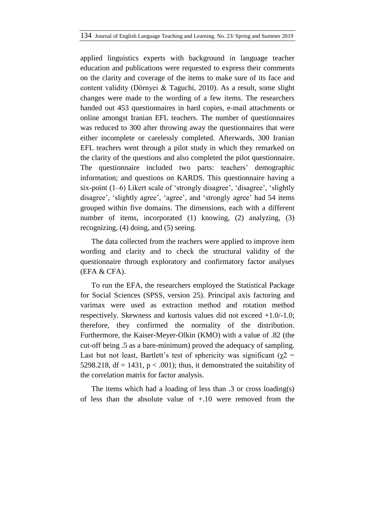applied linguistics experts with background in language teacher education and publications were requested to express their comments on the clarity and coverage of the items to make sure of its face and content validity (Dӧrnyei & Taguchi, 2010). As a result, some slight changes were made to the wording of a few items. The researchers handed out 453 questionnaires in hard copies, e-mail attachments or online amongst Iranian EFL teachers. The number of questionnaires was reduced to 300 after throwing away the questionnaires that were either incomplete or carelessly completed. Afterwards, 300 Iranian EFL teachers went through a pilot study in which they remarked on the clarity of the questions and also completed the pilot questionnaire. The questionnaire included two parts: teachers' demographic information; and questions on KARDS. This questionnaire having a six-point (1–6) Likert scale of "strongly disagree", "disagree", "slightly disagree', 'slightly agree', 'agree', and 'strongly agree' had 54 items grouped within five domains. The dimensions, each with a different number of items, incorporated (1) knowing, (2) analyzing, (3) recognizing, (4) doing, and (5) seeing.

The data collected from the teachers were applied to improve item wording and clarity and to check the structural validity of the questionnaire through exploratory and confirmatory factor analyses (EFA & CFA).

To run the EFA, the researchers employed the Statistical Package for Social Sciences (SPSS, version 25). Principal axis factoring and varimax were used as extraction method and rotation method respectively. Skewness and kurtosis values did not exceed +1.0/-1.0; therefore, they confirmed the normality of the distribution. Furthermore, the Kaiser-Meyer-Olkin (KMO) with a value of .82 (the cut-off being .5 as a bare-minimum) proved the adequacy of sampling. Last but not least, Bartlett's test of sphericity was significant ( $\chi$ 2 = 5298.218, df = 1431,  $p < .001$ ); thus, it demonstrated the suitability of the correlation matrix for factor analysis.

The items which had a loading of less than .3 or cross loading(s) of less than the absolute value of +.10 were removed from the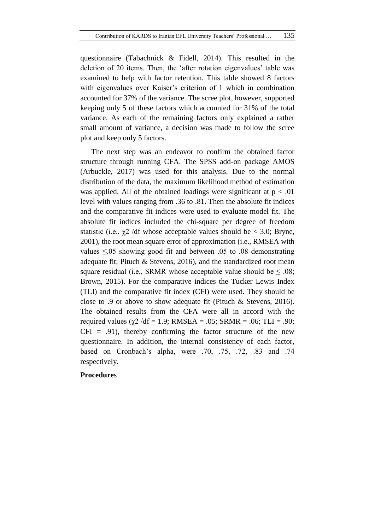questionnaire (Tabachnick & Fidell, 2014). This resulted in the deletion of 20 items. Then, the 'after rotation eigenvalues' table was examined to help with factor retention. This table showed 8 factors with eigenvalues over Kaiser's criterion of 1 which in combination accounted for 37% of the variance. The scree plot, however, supported keeping only 5 of these factors which accounted for 31% of the total variance. As each of the remaining factors only explained a rather small amount of variance, a decision was made to follow the scree plot and keep only 5 factors.

The next step was an endeavor to confirm the obtained factor structure through running CFA. The SPSS add-on package AMOS (Arbuckle, 2017) was used for this analysis. Due to the normal distribution of the data, the maximum likelihood method of estimation was applied. All of the obtained loadings were significant at  $p < .01$ level with values ranging from .36 to .81. Then the absolute fit indices and the comparative fit indices were used to evaluate model fit. The absolute fit indices included the chi-square per degree of freedom statistic (i.e.,  $\chi$ 2 /df whose acceptable values should be < 3.0; Bryne, 2001), the root mean square error of approximation (i.e., RMSEA with values  $\leq 0.05$  showing good fit and between .05 to .08 demonstrating adequate fit; Pituch & Stevens, 2016), and the standardized root mean square residual (i.e., SRMR whose acceptable value should be  $\leq .08$ ; Brown, 2015). For the comparative indices the Tucker Lewis Index (TLI) and the comparative fit index (CFI) were used. They should be close to .9 or above to show adequate fit (Pituch & Stevens, 2016). The obtained results from the CFA were all in accord with the required values ( $χ$ 2 /df = 1.9; RMSEA = .05; SRMR = .06; TLI = .90;  $CFI = .91$ , thereby confirming the factor structure of the new questionnaire. In addition, the internal consistency of each factor, based on Cronbach"s alpha, were .70, .75, .72, .83 and .74 respectively.

## **Procedure**s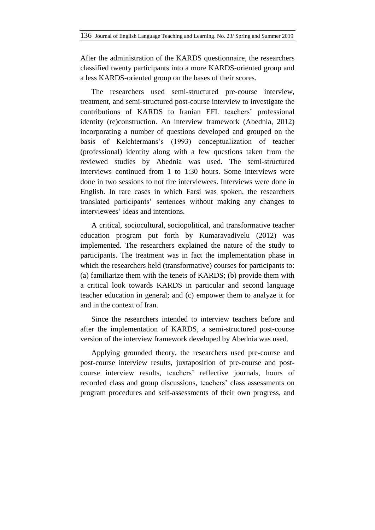After the administration of the KARDS questionnaire, the researchers classified twenty participants into a more KARDS-oriented group and a less KARDS-oriented group on the bases of their scores.

The researchers used semi-structured pre-course interview, treatment, and semi-structured post-course interview to investigate the contributions of KARDS to Iranian EFL teachers' professional identity (re)construction. An interview framework (Abednia, 2012) incorporating a number of questions developed and grouped on the basis of Kelchtermans"s (1993) conceptualization of teacher (professional) identity along with a few questions taken from the reviewed studies by Abednia was used. The semi-structured interviews continued from 1 to 1:30 hours. Some interviews were done in two sessions to not tire interviewees. Interviews were done in English. In rare cases in which Farsi was spoken, the researchers translated participants" sentences without making any changes to interviewees' ideas and intentions.

A critical, sociocultural, sociopolitical, and transformative teacher education program put forth by Kumaravadivelu (2012) was implemented. The researchers explained the nature of the study to participants. The treatment was in fact the implementation phase in which the researchers held (transformative) courses for participants to: (a) familiarize them with the tenets of KARDS; (b) provide them with a critical look towards KARDS in particular and second language teacher education in general; and (c) empower them to analyze it for and in the context of Iran.

Since the researchers intended to interview teachers before and after the implementation of KARDS, a semi-structured post-course version of the interview framework developed by Abednia was used.

Applying grounded theory, the researchers used pre-course and post-course interview results, juxtaposition of pre-course and postcourse interview results, teachers" reflective journals, hours of recorded class and group discussions, teachers" class assessments on program procedures and self-assessments of their own progress, and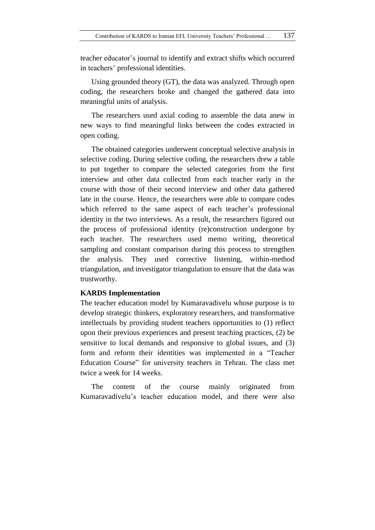teacher educator"s journal to identify and extract shifts which occurred in teachers" professional identities.

Using grounded theory (GT), the data was analyzed. Through open coding, the researchers broke and changed the gathered data into meaningful units of analysis.

The researchers used axial coding to assemble the data anew in new ways to find meaningful links between the codes extracted in open coding.

The obtained categories underwent conceptual selective analysis in selective coding. During selective coding, the researchers drew a table to put together to compare the selected categories from the first interview and other data collected from each teacher early in the course with those of their second interview and other data gathered late in the course. Hence, the researchers were able to compare codes which referred to the same aspect of each teacher's professional identity in the two interviews. As a result, the researchers figured out the process of professional identity (re)construction undergone by each teacher. The researchers used memo writing, theoretical sampling and constant comparison during this process to strengthen the analysis. They used corrective listening, within-method triangulation, and investigator triangulation to ensure that the data was trustworthy.

## **KARDS Implementation**

The teacher education model by Kumaravadivelu whose purpose is to develop strategic thinkers, exploratory researchers, and transformative intellectuals by providing student teachers opportunities to (1) reflect upon their previous experiences and present teaching practices, (2) be sensitive to local demands and responsive to global issues, and (3) form and reform their identities was implemented in a "Teacher Education Course" for university teachers in Tehran. The class met twice a week for 14 weeks.

The content of the course mainly originated from Kumaravadivelu's teacher education model, and there were also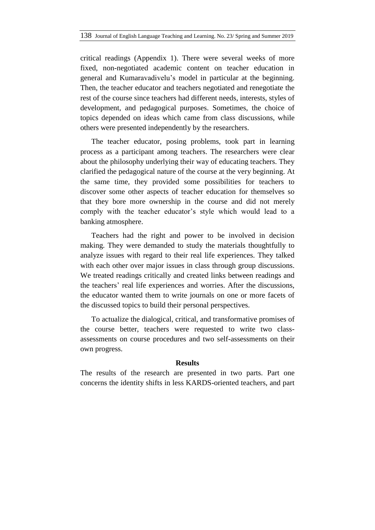critical readings (Appendix 1). There were several weeks of more fixed, non-negotiated academic content on teacher education in general and Kumaravadivelu's model in particular at the beginning. Then, the teacher educator and teachers negotiated and renegotiate the rest of the course since teachers had different needs, interests, styles of development, and pedagogical purposes. Sometimes, the choice of topics depended on ideas which came from class discussions, while others were presented independently by the researchers.

The teacher educator, posing problems, took part in learning process as a participant among teachers. The researchers were clear about the philosophy underlying their way of educating teachers. They clarified the pedagogical nature of the course at the very beginning. At the same time, they provided some possibilities for teachers to discover some other aspects of teacher education for themselves so that they bore more ownership in the course and did not merely comply with the teacher educator's style which would lead to a banking atmosphere.

Teachers had the right and power to be involved in decision making. They were demanded to study the materials thoughtfully to analyze issues with regard to their real life experiences. They talked with each other over major issues in class through group discussions. We treated readings critically and created links between readings and the teachers" real life experiences and worries. After the discussions, the educator wanted them to write journals on one or more facets of the discussed topics to build their personal perspectives.

To actualize the dialogical, critical, and transformative promises of the course better, teachers were requested to write two classassessments on course procedures and two self-assessments on their own progress.

#### **Results**

The results of the research are presented in two parts. Part one concerns the identity shifts in less KARDS-oriented teachers, and part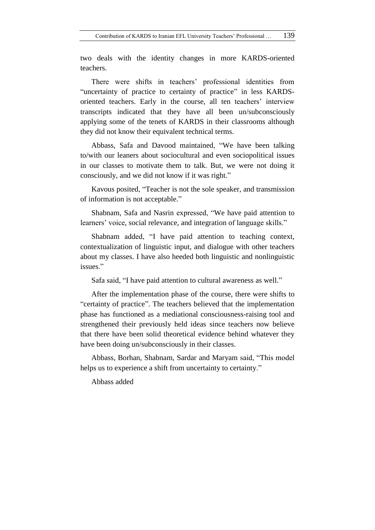two deals with the identity changes in more KARDS-oriented teachers.

There were shifts in teachers" professional identities from "uncertainty of practice to certainty of practice" in less KARDSoriented teachers. Early in the course, all ten teachers" interview transcripts indicated that they have all been un/subconsciously applying some of the tenets of KARDS in their classrooms although they did not know their equivalent technical terms.

Abbass, Safa and Davood maintained, "We have been talking to/with our leaners about sociocultural and even sociopolitical issues in our classes to motivate them to talk. But, we were not doing it consciously, and we did not know if it was right."

Kavous posited, "Teacher is not the sole speaker, and transmission of information is not acceptable."

Shabnam, Safa and Nasrin expressed, "We have paid attention to learners' voice, social relevance, and integration of language skills."

Shabnam added, "I have paid attention to teaching context, contextualization of linguistic input, and dialogue with other teachers about my classes. I have also heeded both linguistic and nonlinguistic issues<sup>"</sup>

Safa said, "I have paid attention to cultural awareness as well."

After the implementation phase of the course, there were shifts to "certainty of practice". The teachers believed that the implementation phase has functioned as a mediational consciousness-raising tool and strengthened their previously held ideas since teachers now believe that there have been solid theoretical evidence behind whatever they have been doing un/subconsciously in their classes.

Abbass, Borhan, Shabnam, Sardar and Maryam said, "This model helps us to experience a shift from uncertainty to certainty."

Abbass added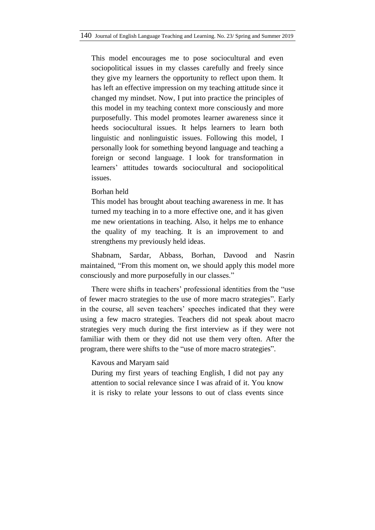This model encourages me to pose sociocultural and even sociopolitical issues in my classes carefully and freely since they give my learners the opportunity to reflect upon them. It has left an effective impression on my teaching attitude since it changed my mindset. Now, I put into practice the principles of this model in my teaching context more consciously and more purposefully. This model promotes learner awareness since it heeds sociocultural issues. It helps learners to learn both linguistic and nonlinguistic issues. Following this model, I personally look for something beyond language and teaching a foreign or second language. I look for transformation in learners" attitudes towards sociocultural and sociopolitical issues.

#### Borhan held

This model has brought about teaching awareness in me. It has turned my teaching in to a more effective one, and it has given me new orientations in teaching. Also, it helps me to enhance the quality of my teaching. It is an improvement to and strengthens my previously held ideas.

Shabnam, Sardar, Abbass, Borhan, Davood and Nasrin maintained, "From this moment on, we should apply this model more consciously and more purposefully in our classes."

There were shifts in teachers' professional identities from the "use" of fewer macro strategies to the use of more macro strategies". Early in the course, all seven teachers" speeches indicated that they were using a few macro strategies. Teachers did not speak about macro strategies very much during the first interview as if they were not familiar with them or they did not use them very often. After the program, there were shifts to the "use of more macro strategies".

## Kavous and Maryam said

During my first years of teaching English, I did not pay any attention to social relevance since I was afraid of it. You know it is risky to relate your lessons to out of class events since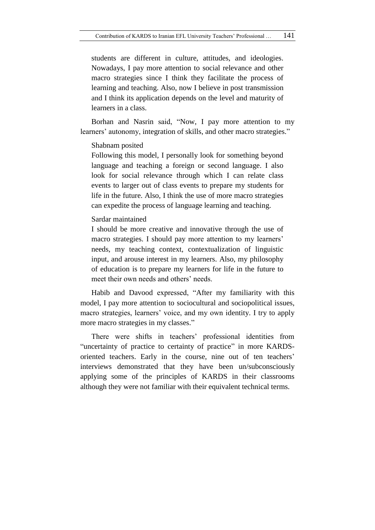students are different in culture, attitudes, and ideologies. Nowadays, I pay more attention to social relevance and other macro strategies since I think they facilitate the process of learning and teaching. Also, now I believe in post transmission and I think its application depends on the level and maturity of learners in a class.

Borhan and Nasrin said, "Now, I pay more attention to my learners' autonomy, integration of skills, and other macro strategies."

Shabnam posited

Following this model, I personally look for something beyond language and teaching a foreign or second language. I also look for social relevance through which I can relate class events to larger out of class events to prepare my students for life in the future. Also, I think the use of more macro strategies can expedite the process of language learning and teaching.

Sardar maintained

I should be more creative and innovative through the use of macro strategies. I should pay more attention to my learners' needs, my teaching context, contextualization of linguistic input, and arouse interest in my learners. Also, my philosophy of education is to prepare my learners for life in the future to meet their own needs and others' needs.

Habib and Davood expressed, "After my familiarity with this model, I pay more attention to sociocultural and sociopolitical issues, macro strategies, learners' voice, and my own identity. I try to apply more macro strategies in my classes."

There were shifts in teachers' professional identities from "uncertainty of practice to certainty of practice" in more KARDSoriented teachers. Early in the course, nine out of ten teachers" interviews demonstrated that they have been un/subconsciously applying some of the principles of KARDS in their classrooms although they were not familiar with their equivalent technical terms.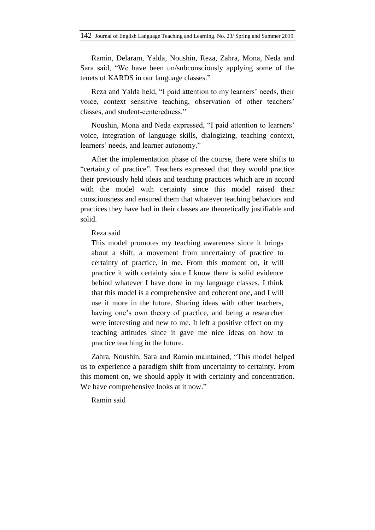Ramin, Delaram, Yalda, Noushin, Reza, Zahra, Mona, Neda and Sara said, "We have been un/subconsciously applying some of the tenets of KARDS in our language classes."

Reza and Yalda held, "I paid attention to my learners' needs, their voice, context sensitive teaching, observation of other teachers' classes, and student-centeredness."

Noushin, Mona and Neda expressed, "I paid attention to learners" voice, integration of language skills, dialogizing, teaching context, learners' needs, and learner autonomy."

After the implementation phase of the course, there were shifts to "certainty of practice". Teachers expressed that they would practice their previously held ideas and teaching practices which are in accord with the model with certainty since this model raised their consciousness and ensured them that whatever teaching behaviors and practices they have had in their classes are theoretically justifiable and solid.

## Reza said

This model promotes my teaching awareness since it brings about a shift, a movement from uncertainty of practice to certainty of practice, in me. From this moment on, it will practice it with certainty since I know there is solid evidence behind whatever I have done in my language classes. I think that this model is a comprehensive and coherent one, and I will use it more in the future. Sharing ideas with other teachers, having one's own theory of practice, and being a researcher were interesting and new to me. It left a positive effect on my teaching attitudes since it gave me nice ideas on how to practice teaching in the future.

Zahra, Noushin, Sara and Ramin maintained, "This model helped us to experience a paradigm shift from uncertainty to certainty. From this moment on, we should apply it with certainty and concentration. We have comprehensive looks at it now."

## Ramin said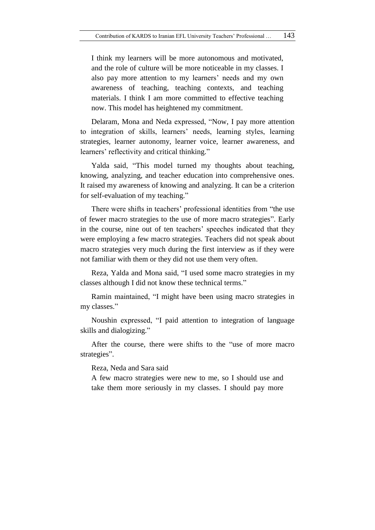I think my learners will be more autonomous and motivated, and the role of culture will be more noticeable in my classes. I also pay more attention to my learners' needs and my own awareness of teaching, teaching contexts, and teaching materials. I think I am more committed to effective teaching now. This model has heightened my commitment.

Delaram, Mona and Neda expressed, "Now, I pay more attention to integration of skills, learners" needs, learning styles, learning strategies, learner autonomy, learner voice, learner awareness, and learners' reflectivity and critical thinking."

Yalda said, "This model turned my thoughts about teaching, knowing, analyzing, and teacher education into comprehensive ones. It raised my awareness of knowing and analyzing. It can be a criterion for self-evaluation of my teaching."

There were shifts in teachers' professional identities from "the use of fewer macro strategies to the use of more macro strategies". Early in the course, nine out of ten teachers' speeches indicated that they were employing a few macro strategies. Teachers did not speak about macro strategies very much during the first interview as if they were not familiar with them or they did not use them very often.

Reza, Yalda and Mona said, "I used some macro strategies in my classes although I did not know these technical terms."

Ramin maintained, "I might have been using macro strategies in my classes."

Noushin expressed, "I paid attention to integration of language skills and dialogizing."

After the course, there were shifts to the "use of more macro strategies".

Reza, Neda and Sara said

A few macro strategies were new to me, so I should use and take them more seriously in my classes. I should pay more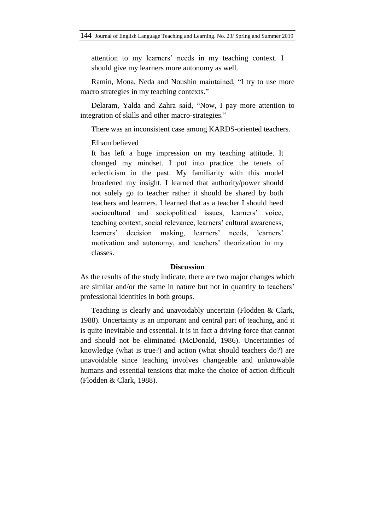attention to my learners' needs in my teaching context. I should give my learners more autonomy as well.

Ramin, Mona, Neda and Noushin maintained, "I try to use more macro strategies in my teaching contexts."

Delaram, Yalda and Zahra said, "Now, I pay more attention to integration of skills and other macro-strategies."

There was an inconsistent case among KARDS-oriented teachers.

Elham believed

It has left a huge impression on my teaching attitude. It changed my mindset. I put into practice the tenets of eclecticism in the past. My familiarity with this model broadened my insight. I learned that authority/power should not solely go to teacher rather it should be shared by both teachers and learners. I learned that as a teacher I should heed sociocultural and sociopolitical issues, learners' voice, teaching context, social relevance, learners" cultural awareness, learners' decision making, learners' needs, learners' motivation and autonomy, and teachers' theorization in my classes.

## **Discussion**

As the results of the study indicate, there are two major changes which are similar and/or the same in nature but not in quantity to teachers' professional identities in both groups.

Teaching is clearly and unavoidably uncertain (Flodden & Clark, 1988). Uncertainty is an important and central part of teaching, and it is quite inevitable and essential. It is in fact a driving force that cannot and should not be eliminated (McDonald, 1986). Uncertainties of knowledge (what is true?) and action (what should teachers do?) are unavoidable since teaching involves changeable and unknowable humans and essential tensions that make the choice of action difficult (Flodden & Clark, 1988).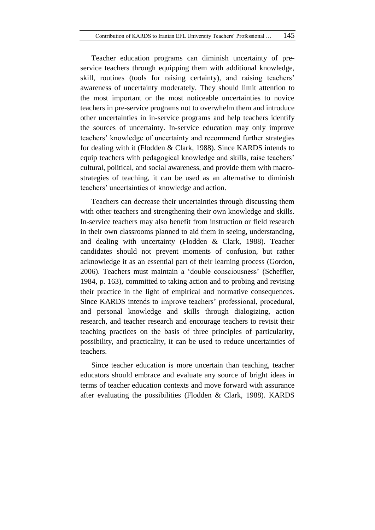Teacher education programs can diminish uncertainty of preservice teachers through equipping them with additional knowledge, skill, routines (tools for raising certainty), and raising teachers' awareness of uncertainty moderately. They should limit attention to the most important or the most noticeable uncertainties to novice teachers in pre-service programs not to overwhelm them and introduce other uncertainties in in-service programs and help teachers identify the sources of uncertainty. In-service education may only improve teachers" knowledge of uncertainty and recommend further strategies for dealing with it (Flodden & Clark, 1988). Since KARDS intends to equip teachers with pedagogical knowledge and skills, raise teachers' cultural, political, and social awareness, and provide them with macrostrategies of teaching, it can be used as an alternative to diminish teachers" uncertainties of knowledge and action.

Teachers can decrease their uncertainties through discussing them with other teachers and strengthening their own knowledge and skills. In-service teachers may also benefit from instruction or field research in their own classrooms planned to aid them in seeing, understanding, and dealing with uncertainty (Flodden & Clark, 1988). Teacher candidates should not prevent moments of confusion, but rather acknowledge it as an essential part of their learning process (Gordon, 2006). Teachers must maintain a "double consciousness" (Scheffler, 1984, p. 163), committed to taking action and to probing and revising their practice in the light of empirical and normative consequences. Since KARDS intends to improve teachers' professional, procedural, and personal knowledge and skills through dialogizing, action research, and teacher research and encourage teachers to revisit their teaching practices on the basis of three principles of particularity, possibility, and practicality, it can be used to reduce uncertainties of teachers.

Since teacher education is more uncertain than teaching, teacher educators should embrace and evaluate any source of bright ideas in terms of teacher education contexts and move forward with assurance after evaluating the possibilities (Flodden & Clark, 1988). KARDS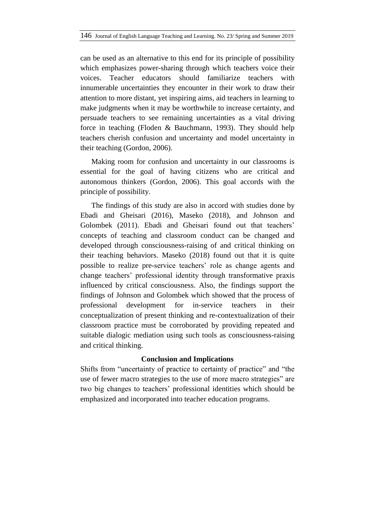can be used as an alternative to this end for its principle of possibility which emphasizes power-sharing through which teachers voice their voices. Teacher educators should familiarize teachers with innumerable uncertainties they encounter in their work to draw their attention to more distant, yet inspiring aims, aid teachers in learning to make judgments when it may be worthwhile to increase certainty, and persuade teachers to see remaining uncertainties as a vital driving force in teaching (Floden & Bauchmann, 1993). They should help teachers cherish confusion and uncertainty and model uncertainty in their teaching (Gordon, 2006).

Making room for confusion and uncertainty in our classrooms is essential for the goal of having citizens who are critical and autonomous thinkers (Gordon, 2006). This goal accords with the principle of possibility.

The findings of this study are also in accord with studies done by Ebadi and Gheisari (2016), Maseko (2018), and Johnson and Golombek (2011). Ebadi and Gheisari found out that teachers' concepts of teaching and classroom conduct can be changed and developed through consciousness-raising of and critical thinking on their teaching behaviors. Maseko (2018) found out that it is quite possible to realize pre-service teachers" role as change agents and change teachers" professional identity through transformative praxis influenced by critical consciousness. Also, the findings support the findings of Johnson and Golombek which showed that the process of professional development for in-service teachers in their conceptualization of present thinking and re-contextualization of their classroom practice must be corroborated by providing repeated and suitable dialogic mediation using such tools as consciousness-raising and critical thinking.

## **Conclusion and Implications**

Shifts from "uncertainty of practice to certainty of practice" and "the use of fewer macro strategies to the use of more macro strategies" are two big changes to teachers" professional identities which should be emphasized and incorporated into teacher education programs.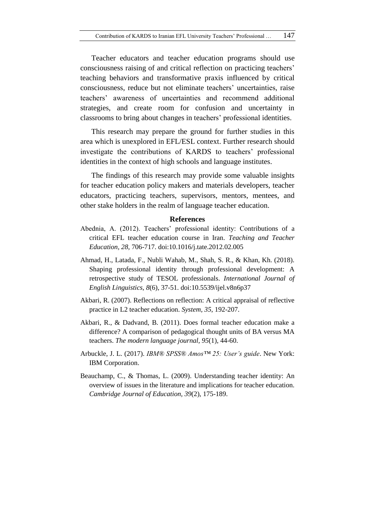Teacher educators and teacher education programs should use consciousness raising of and critical reflection on practicing teachers' teaching behaviors and transformative praxis influenced by critical consciousness, reduce but not eliminate teachers" uncertainties, raise teachers" awareness of uncertainties and recommend additional strategies, and create room for confusion and uncertainty in classrooms to bring about changes in teachers" professional identities.

This research may prepare the ground for further studies in this area which is unexplored in EFL/ESL context. Further research should investigate the contributions of KARDS to teachers' professional identities in the context of high schools and language institutes.

The findings of this research may provide some valuable insights for teacher education policy makers and materials developers, teacher educators, practicing teachers, supervisors, mentors, mentees, and other stake holders in the realm of language teacher education.

## **References**

- Abednia, A. (2012). Teachers' professional identity: Contributions of a critical EFL teacher education course in Iran. *Teaching and Teacher Education, 28*, 706-717. doi:10.1016/j.tate.2012.02.005
- Ahmad, H., Latada, F., Nubli Wahab, M., Shah, S. R., & Khan, Kh. (2018). Shaping professional identity through professional development: A retrospective study of TESOL professionals. *International Journal of English Linguistics, 8*(6), 37-51. doi:10.5539/ijel.v8n6p37
- Akbari, R. (2007). Reflections on reflection: A critical appraisal of reflective practice in L2 teacher education. *System, 35*, 192-207.
- Akbari, R., & Dadvand, B. (2011). Does formal teacher education make a difference? A comparison of pedagogical thought units of BA versus MA teachers. *The modern language journal, 95*(1), 44-60.
- Arbuckle, J. L. (2017). *IBM® SPSS® Amos™ 25: User's guide*. New York: IBM Corporation.
- Beauchamp, C., & Thomas, L. (2009). Understanding teacher identity: An overview of issues in the literature and implications for teacher education. *Cambridge Journal of Education, 39*(2), 175-189.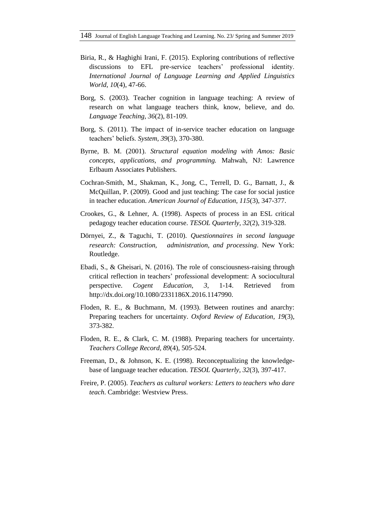- Biria, R., & Haghighi Irani, F. (2015). Exploring contributions of reflective discussions to EFL pre-service teachers' professional identity. *International Journal of Language Learning and Applied Linguistics World, 10*(4), 47-66.
- Borg, S. (2003). Teacher cognition in language teaching: A review of research on what language teachers think, know, believe, and do. *Language Teaching, 36*(2), 81-109.
- Borg, S. (2011). The impact of in-service teacher education on language teachers" beliefs. *System, 39*(3), 370-380.
- Byrne, B. M. (2001). *Structural equation modeling with Amos: Basic concepts, applications, and programming.* Mahwah, NJ: Lawrence Erlbaum Associates Publishers.
- Cochran-Smith, M., Shakman, K., Jong, C., Terrell, D. G., Barnatt, J., & McQuillan, P. (2009). Good and just teaching: The case for social justice in teacher education. *American Journal of Education, 115*(3), 347-377.
- Crookes, G., & Lehner, A. (1998). Aspects of process in an ESL critical pedagogy teacher education course. *TESOL Quarterly, 32*(2), 319-328.
- Dörnyei, Z., & Taguchi, T. (2010). *Questionnaires in second language research: Construction, administration, and processing*. New York: Routledge.
- Ebadi, S., & Gheisari, N. (2016). The role of consciousness-raising through critical reflection in teachers" professional development: A sociocultural perspective. *Cogent Education, 3*, 1-14. Retrieved from [http://dx.doi.org/10.1080/2](http://dx.doi.org/10.1080/)331186X.2016.1147990.
- Floden, R. E., & Buchmann, M. (1993). Between routines and anarchy: Preparing teachers for uncertainty. *Oxford Review of Education, 19*(3), 373-382.
- Floden, R. E., & Clark, C. M. (1988). Preparing teachers for uncertainty. *Teachers College Record, 89*(4), 505-524.
- Freeman, D., & Johnson, K. E. (1998). Reconceptualizing the knowledgebase of language teacher education. *TESOL Quarterly, 32*(3), 397-417.
- Freire, P. (2005). *Teachers as cultural workers: Letters to teachers who dare teach*. Cambridge: Westview Press.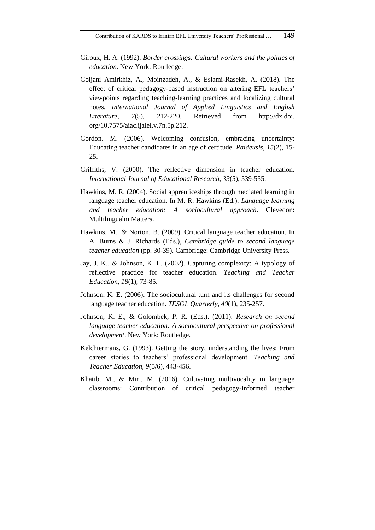- Giroux, H. A. (1992). *Border crossings: Cultural workers and the politics of education*. New York: Routledge.
- Goljani Amirkhiz, A., Moinzadeh, A., & Eslami-Rasekh, A. (2018). The effect of critical pedagogy-based instruction on altering EFL teachers' viewpoints regarding teaching-learning practices and localizing cultural notes. *International Journal of Applied Linguistics and English Literature, 7*(5), 212-220. Retrieved from http://dx.doi. org/10.7575/aiac.ijalel.v.7n.5p.212.
- Gordon, M. (2006). Welcoming confusion, embracing uncertainty: Educating teacher candidates in an age of certitude. *Paideusis, 15*(2), 15- 25.
- Griffiths, V. (2000). The reflective dimension in teacher education. *International Journal of Educational Research, 33*(5), 539-555.
- Hawkins, M. R. (2004). Social apprenticeships through mediated learning in language teacher education. In M. R. Hawkins (Ed.), *Language learning and teacher education: A sociocultural approach*. Clevedon: Multilingualm Matters.
- Hawkins, M., & Norton, B. (2009). Critical language teacher education. In A. Burns & J. Richards (Eds.), *Cambridge guide to second language teacher education* (pp. 30-39). Cambridge: Cambridge University Press.
- Jay, J. K., & Johnson, K. L. (2002). Capturing complexity: A typology of reflective practice for teacher education. *Teaching and Teacher Education, 18*(1), 73-85.
- Johnson, K. E. (2006). The sociocultural turn and its challenges for second language teacher education. *TESOL Quarterly, 40*(1), 235-257.
- Johnson, K. E., & Golombek, P. R. (Eds.). (2011). *Research on second language teacher education: A sociocultural perspective on professional development*. New York: Routledge.
- Kelchtermans, G. (1993). Getting the story, understanding the lives: From career stories to teachers" professional development. *Teaching and Teacher Education, 9*(5/6), 443-456.
- Khatib, M., & Miri, M. (2016). Cultivating multivocality in language classrooms: Contribution of critical pedagogy-informed teacher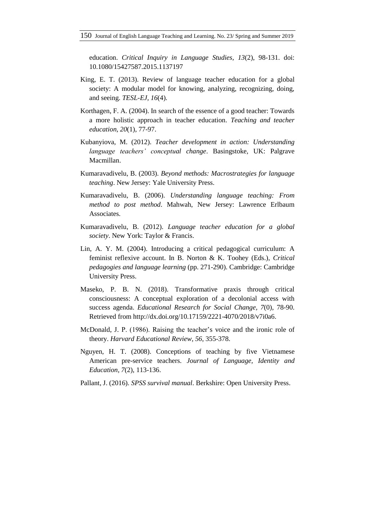education. *Critical Inquiry in Language Studies, 13*(2), 98-131. doi: 10.1080/15427587.2015.1137197

- King, E. T. (2013). Review of language teacher education for a global society: A modular model for knowing, analyzing, recognizing, doing, and seeing. *TESL-EJ, 16*(4).
- Korthagen, F. A. (2004). In search of the essence of a good teacher: Towards a more holistic approach in teacher education. *Teaching and teacher education, 20*(1), 77-97.
- Kubanyiova, M. (2012). *Teacher development in action: Understanding language teachers' conceptual change*. Basingstoke, UK: Palgrave Macmillan.
- Kumaravadivelu, B. (2003). *Beyond methods: Macrostrategies for language teaching*. New Jersey: Yale University Press.
- Kumaravadivelu, B. (2006). *Understanding language teaching: From method to post method*. Mahwah, New Jersey: Lawrence Erlbaum Associates.
- Kumaravadivelu, B. (2012). *Language teacher education for a global society*. New York: Taylor & Francis.
- Lin, A. Y. M. (2004). Introducing a critical pedagogical curriculum: A feminist reflexive account. In B. Norton & K. Toohey (Eds.), *Critical pedagogies and language learning* (pp. 271-290). Cambridge: Cambridge University Press.
- Maseko, P. B. N. (2018). Transformative praxis through critical consciousness: A conceptual exploration of a decolonial access with success agenda. *Educational Research for Social Change, 7*(0), 78-90. Retrieved from [http://dx.doi.org/10.17159/2221-4070/2018/v7i0a6.](http://dx.doi.org/10.17159/2221-4070/2018/v7i0a6)
- McDonald, J. P. (1986). Raising the teacher"s voice and the ironic role of theory. *Harvard Educational Review, 56*, 355-378.
- Nguyen, H. T. (2008). Conceptions of teaching by five Vietnamese American pre-service teachers. *Journal of Language, Identity and Education, 7*(2), 113-136.
- Pallant, J. (2016). *SPSS survival manual*. Berkshire: Open University Press.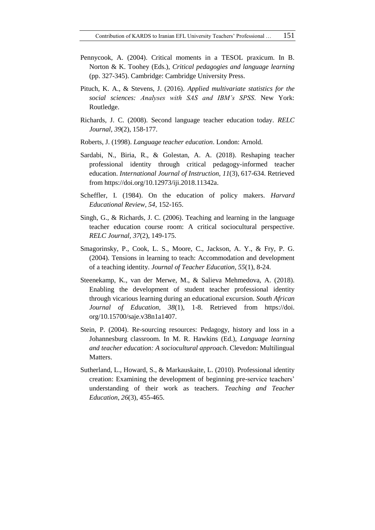- Pennycook, A. (2004). Critical moments in a TESOL praxicum. In B. Norton & K. Toohey (Eds.), *Critical pedagogies and language learning* (pp. 327-345). Cambridge: Cambridge University Press.
- Pituch, K. A., & Stevens, J. (2016). *Applied multivariate statistics for the social sciences: Analyses with SAS and IBM's SPSS*. New York: Routledge.
- Richards, J. C. (2008). Second language teacher education today. *RELC Journal, 39*(2), 158-177.
- Roberts, J. (1998). *Language teacher education*. London: Arnold.
- Sardabi, N., Biria, R., & Golestan, A. A. (2018). Reshaping teacher professional identity through critical pedagogy-informed teacher education. *International Journal of Instruction, 11*(3), 617-634. Retrieved from [https://doi.org/10.12973/iji.2018.11342a.](https://doi.org/10.12973/iji.2018.11342a)
- Scheffler, I. (1984). On the education of policy makers. *Harvard Educational Review, 54*, 152-165.
- Singh, G., & Richards, J. C. (2006). Teaching and learning in the language teacher education course room: A critical sociocultural perspective. *RELC Journal, 37*(2), 149-175.
- Smagorinsky, P., Cook, L. S., Moore, C., Jackson, A. Y., & Fry, P. G. (2004). Tensions in learning to teach: Accommodation and development of a teaching identity. *Journal of Teacher Education, 55*(1), 8-24.
- Steenekamp, K., van der Merwe, M., & Salieva Mehmedova, A. (2018). Enabling the development of student teacher professional identity through vicarious learning during an educational excursion. *South African Journal of Education, 38*(1), 1-8. Retrieved from https://doi. [org/1](https://doi.org/)0.15700/saje.v38n1a1407.
- Stein, P. (2004). Re-sourcing resources: Pedagogy, history and loss in a Johannesburg classroom. In M. R. Hawkins (Ed.), *Language learning and teacher education: A sociocultural approach*. Clevedon: Multilingual Matters.
- Sutherland, L., Howard, S., & Markauskaite, L. (2010). Professional identity creation: Examining the development of beginning pre-service teachers" understanding of their work as teachers. *Teaching and Teacher Education, 26*(3), 455-465.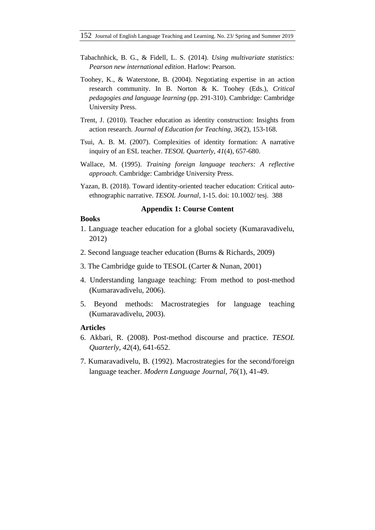- Tabachnhick, B. G., & Fidell, L. S. (2014). *Using multivariate statistics: Pearson new international edition*. Harlow: Pearson.
- Toohey, K., & Waterstone, B. (2004). Negotiating expertise in an action research community. In B. Norton & K. Toohey (Eds.), *Critical pedagogies and language learning* (pp. 291-310). Cambridge: Cambridge University Press.
- Trent, J. (2010). Teacher education as identity construction: Insights from action research. *Journal of Education for Teaching, 36*(2), 153-168.
- Tsui, A. B. M. (2007). Complexities of identity formation: A narrative inquiry of an ESL teacher. *TESOL Quarterly, 41*(4), 657-680.
- Wallace, M. (1995). *Training foreign language teachers: A reflective approach*. Cambridge: Cambridge University Press.
- Yazan, B. (2018). Toward identity-oriented teacher education: Critical autoethnographic narrative. *TESOL Journal*, 1-15. doi: 10.1002/ tesj. 388

#### **Appendix 1: Course Content**

#### **Books**

- 1. Language teacher education for a global society (Kumaravadivelu, 2012)
- 2. Second language teacher education (Burns & Richards, 2009)
- 3. The Cambridge guide to TESOL (Carter & Nunan, 2001)
- 4. Understanding language teaching: From method to post-method (Kumaravadivelu, 2006).
- 5. Beyond methods: Macrostrategies for language teaching (Kumaravadivelu, 2003).

#### **Articles**

- 6. Akbari, R. (2008). Post-method discourse and practice. *TESOL Quarterly, 42*(4), 641-652.
- 7. Kumaravadivelu, B. (1992). Macrostrategies for the second/foreign language teacher. *Modern Language Journal, 76*(1), 41-49.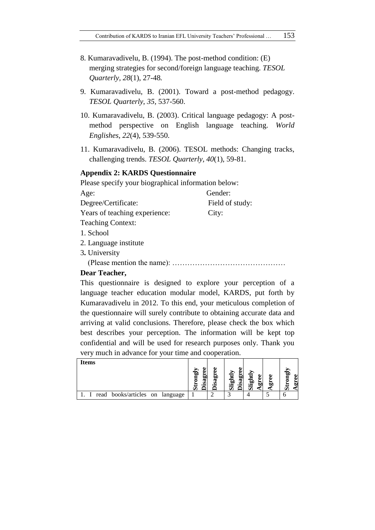- 8. Kumaravadivelu, B. (1994). The post-method condition: (E) merging strategies for second/foreign language teaching. *TESOL Quarterly, 28*(1), 27-48*.*
- 9. Kumaravadivelu, B. (2001). Toward a post-method pedagogy. *TESOL Quarterly*, *35*, 537-560.
- 10. Kumaravadivelu, B. (2003). Critical language pedagogy: A postmethod perspective on English language teaching. *World Englishes*, *22*(4), 539-550.
- 11. Kumaravadivelu, B. (2006). TESOL methods: Changing tracks, challenging trends. *TESOL Quarterly, 40*(1), 59-81.

#### **Appendix 2: KARDS Questionnaire**

| Please specify your biographical information below: |                 |  |
|-----------------------------------------------------|-----------------|--|
| Age:                                                | Gender:         |  |
| Degree/Certificate:                                 | Field of study: |  |
| Years of teaching experience:                       | City:           |  |
| <b>Teaching Context:</b>                            |                 |  |
| 1. School                                           |                 |  |
| 2. Language institute                               |                 |  |
| 3. University                                       |                 |  |
| $\sqrt{D}$ $\sqrt{D}$ $\sqrt{D}$ $\sqrt{D}$         |                 |  |

(Please mention the name): ………………………………………

## **Dear Teacher,**

This questionnaire is designed to explore your perception of a language teacher education modular model, KARDS, put forth by Kumaravadivelu in 2012. To this end, your meticulous completion of the questionnaire will surely contribute to obtaining accurate data and arriving at valid conclusions. Therefore, please check the box which best describes your perception. The information will be kept top confidential and will be used for research purposes only. Thank you very much in advance for your time and cooperation.

| <b>Items</b>                    | ω<br>ыį<br>isag<br>ದ | <u>ក្នុ</u><br>۹. | ω<br>ख़े<br>ōι | অ |
|---------------------------------|----------------------|-------------------|----------------|---|
| read books/articles on language |                      |                   |                |   |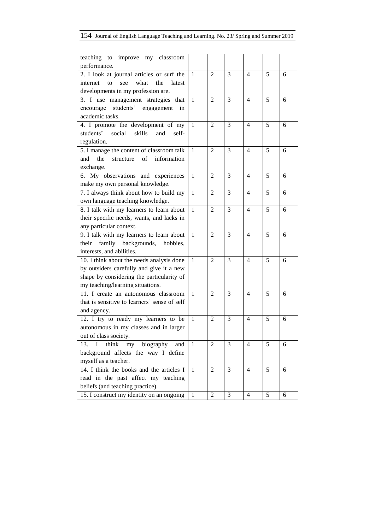# 154 Journal of English Language Teaching and Learning. No. 23/ Spring and Summer 2019

| teaching to improve my<br>classroom            |              |                |   |                |   |   |
|------------------------------------------------|--------------|----------------|---|----------------|---|---|
| performance.                                   |              |                |   |                |   |   |
| 2. I look at journal articles or surf the      | $\mathbf{1}$ | $\overline{2}$ | 3 | $\overline{4}$ | 5 | 6 |
| internet<br>what<br>the<br>to<br>latest<br>see |              |                |   |                |   |   |
| developments in my profession are.             |              |                |   |                |   |   |
| 3. I use management strategies that            | $\mathbf{1}$ | $\overline{2}$ | 3 | $\overline{4}$ | 5 | 6 |
| students' engagement<br>encourage<br>in        |              |                |   |                |   |   |
| academic tasks.                                |              |                |   |                |   |   |
| 4. I promote the development of my             | 1            | 2              | 3 | $\overline{4}$ | 5 | 6 |
| students'<br>social<br>skills<br>and<br>self-  |              |                |   |                |   |   |
| regulation.                                    |              |                |   |                |   |   |
| 5. I manage the content of classroom talk      | $\mathbf{1}$ | $\overline{2}$ | 3 | $\overline{4}$ | 5 | 6 |
| the<br>of<br>information<br>and<br>structure   |              |                |   |                |   |   |
| exchange.                                      |              |                |   |                |   |   |
| 6. My observations and experiences             | 1            | 2              | 3 | $\overline{4}$ | 5 | 6 |
| make my own personal knowledge.                |              |                |   |                |   |   |
| 7. I always think about how to build my        | $\mathbf{1}$ | 2              | 3 | 4              | 5 | 6 |
| own language teaching knowledge.               |              |                |   |                |   |   |
| 8. I talk with my learners to learn about      | 1            | 2              | 3 | 4              | 5 | 6 |
| their specific needs, wants, and lacks in      |              |                |   |                |   |   |
| any particular context.                        |              |                |   |                |   |   |
| 9. I talk with my learners to learn about      | 1            | $\overline{2}$ | 3 | $\overline{4}$ | 5 | 6 |
| their family backgrounds, hobbies,             |              |                |   |                |   |   |
| interests, and abilities.                      |              |                |   |                |   |   |
| 10. I think about the needs analysis done      | 1            | 2              | 3 | 4              | 5 | 6 |
| by outsiders carefully and give it a new       |              |                |   |                |   |   |
| shape by considering the particularity of      |              |                |   |                |   |   |
| my teaching/learning situations.               |              |                |   |                |   |   |
| 11. I create an autonomous classroom           | $\mathbf{1}$ | $\overline{2}$ | 3 | 4              | 5 | 6 |
| that is sensitive to learners' sense of self   |              |                |   |                |   |   |
| and agency.                                    |              |                |   |                |   |   |
| 12. I try to ready my learners to be           | 1            | 2              | 3 | 4              | 5 | 6 |
| autonomous in my classes and in larger         |              |                |   |                |   |   |
| out of class society.                          |              |                |   |                |   |   |
| my biography<br>I<br>think<br>13.<br>and       | $\mathbf{1}$ | $\overline{2}$ | 3 | $\overline{4}$ | 5 | 6 |
| background affects the way I define            |              |                |   |                |   |   |
| myself as a teacher.                           |              |                |   |                |   |   |
| 14. I think the books and the articles I       | $\mathbf{1}$ | 2              | 3 | 4              | 5 | 6 |
| read in the past affect my teaching            |              |                |   |                |   |   |
| beliefs (and teaching practice).               |              |                |   |                |   |   |
| 15. I construct my identity on an ongoing      | 1            | $\overline{2}$ | 3 | $\overline{4}$ | 5 | 6 |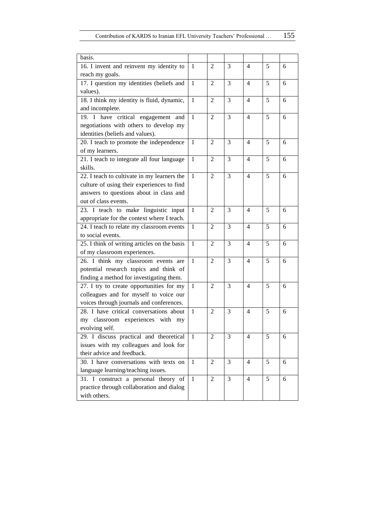| basis.                                       |              |                |                |                          |   |   |
|----------------------------------------------|--------------|----------------|----------------|--------------------------|---|---|
| 16. I invent and reinvent my identity to     | $\mathbf{1}$ | 2              | 3              | 4                        | 5 | 6 |
| reach my goals.                              |              |                |                |                          |   |   |
| 17. I question my identities (beliefs and    | $\mathbf{1}$ | $\overline{2}$ | 3              | $\overline{4}$           | 5 | 6 |
| values).                                     |              |                |                |                          |   |   |
| 18. I think my identity is fluid, dynamic,   | $\mathbf{1}$ | $\overline{2}$ | 3              | $\overline{4}$           | 5 | 6 |
| and incomplete.                              |              |                |                |                          |   |   |
| 19. I have critical engagement and           | $\mathbf{1}$ | $\overline{2}$ | 3              | $\overline{4}$           | 5 | 6 |
| negotiations with others to develop my       |              |                |                |                          |   |   |
| identities (beliefs and values).             |              |                |                |                          |   |   |
| 20. I teach to promote the independence      | $\mathbf{1}$ | $\overline{2}$ | 3              | $\overline{4}$           | 5 | 6 |
| of my learners.                              |              |                |                |                          |   |   |
| 21. I teach to integrate all four language   | 1            | $\overline{c}$ | 3              | $\overline{4}$           | 5 | 6 |
| skills.                                      |              |                |                |                          |   |   |
| 22. I teach to cultivate in my learners the  | $\mathbf{1}$ | $\overline{2}$ | 3              | 4                        | 5 | 6 |
| culture of using their experiences to find   |              |                |                |                          |   |   |
| answers to questions about in class and      |              |                |                |                          |   |   |
| out of class events.                         |              |                |                |                          |   |   |
| 23. I teach to make linguistic input         | $\mathbf{1}$ | 2              | 3              | 4                        | 5 | 6 |
| appropriate for the context where I teach.   |              |                |                |                          |   |   |
| 24. I teach to relate my classroom events    | $\mathbf{1}$ | 2              | 3              | 4                        | 5 | 6 |
| to social events.                            |              |                |                |                          |   |   |
| 25. I think of writing articles on the basis | $\mathbf{1}$ | 2              | 3              | $\overline{4}$           | 5 | 6 |
| of my classroom experiences.                 |              |                |                |                          |   |   |
| 26. I think my classroom events are          | $\mathbf{1}$ | $\overline{c}$ | 3              | $\overline{4}$           | 5 | 6 |
| potential research topics and think of       |              |                |                |                          |   |   |
| finding a method for investigating them.     |              |                |                |                          |   |   |
| 27. I try to create opportunities for my     | $\mathbf{1}$ | $\overline{2}$ | 3              | $\overline{4}$           | 5 | 6 |
| colleagues and for myself to voice our       |              |                |                |                          |   |   |
| voices through journals and conferences.     |              |                |                |                          |   |   |
| 28. I have critical conversations about      | 1            | $\overline{2}$ | 3              | 4                        | 5 | 6 |
| my classroom experiences with my             |              |                |                |                          |   |   |
| evolving self.                               |              |                |                |                          |   |   |
| 29. I discuss practical and theoretical 1    |              | $\sqrt{2}$     | $\mathfrak{Z}$ | $\overline{\mathcal{L}}$ | 5 | 6 |
| issues with my colleagues and look for       |              |                |                |                          |   |   |
| their advice and feedback.                   |              |                |                |                          |   |   |
| 30. I have conversations with texts on       | $\mathbf{1}$ | $\mathbf{2}$   | 3              | $\overline{4}$           | 5 | 6 |
| language learning/teaching issues.           |              |                |                |                          |   |   |
| 31. I construct a personal theory of         | $\mathbf{1}$ | $\mathbf{2}$   | 3              | $\overline{4}$           | 5 | 6 |
| practice through collaboration and dialog    |              |                |                |                          |   |   |
| with others.                                 |              |                |                |                          |   |   |